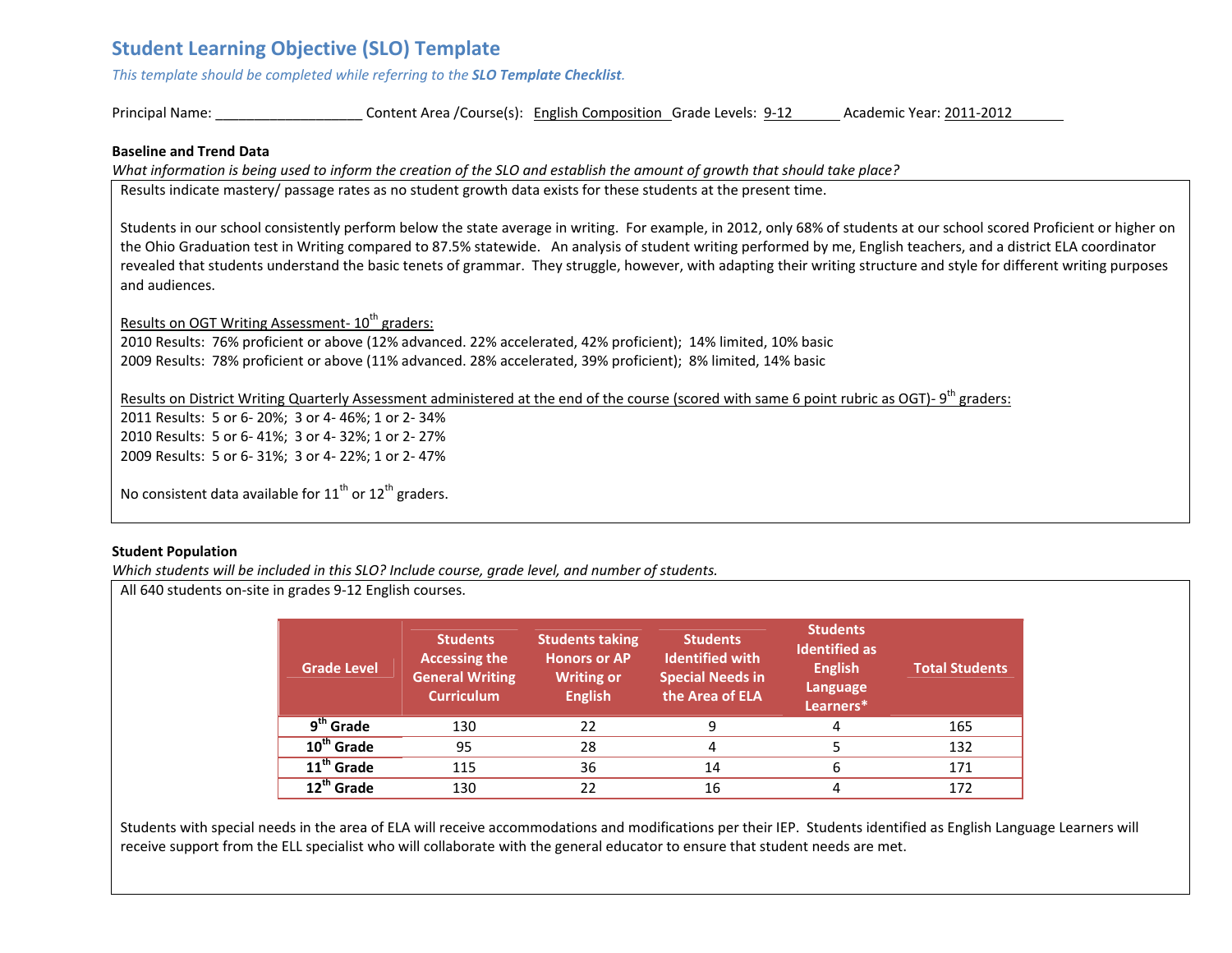# **Student Learning Objective (SLO) Template**

*This template should be completed while referring to the SLO Template Checklist.*

Principal Name: \_\_\_\_\_\_\_\_\_\_\_\_\_\_\_\_\_\_\_ Content Area /Course(s): English Composition Grade Levels: 9‐12 Academic Year: 2011‐2012

#### **Baseline and Trend Data**

What information is being used to inform the creation of the SLO and establish the amount of growth that should take place?

Results indicate mastery/ passage rates as no student growth data exists for these students at the present time.

Students in our school consistently perform below the state average in writing. For example, in 2012, only 68% of students at our school scored Proficient or higher on the Ohio Graduation test in Writing compared to 87.5% statewide. An analysis of student writing performed by me, English teachers, and <sup>a</sup> district ELA coordinator revealed that students understand the basic tenets of grammar. They struggle, however, with adapting their writing structure and style for different writing purposes and audiences.

Results on OGT Writing Assessment- 10<sup>th</sup> graders:

2010 Results: 76% proficient or above (12% advanced. 22% accelerated, 42% proficient); 14% limited, 10% basic 2009 Results: 78% proficient or above (11% advanced. 28% accelerated, 39% proficient); 8% limited, 14% basic

Results on District Writing Quarterly Assessment administered at the end of the course (scored with same 6 point rubric as OGT)- 9<sup>th</sup> graders:

2011 Results: 5 or 6‐ 20%; 3 or 4‐ 46%; 1 or 2‐ 34% 2010 Results: 5 or 6‐ 41%; 3 or 4‐ 32%; 1 or 2‐ 27% 2009 Results: 5 or 6‐ 31%; 3 or 4‐ 22%; 1 or 2‐ 47%

No consistent data available for  $11^{\text{th}}$  or  $12^{\text{th}}$  graders.

# **Student Population**

*Which students will be included in this SLO? Include course, grade level, and number of students.*

All 640 students on‐site in grades 9‐12 English courses.

| <b>Grade Level</b>     | <b>Students</b><br><b>Accessing the</b><br><b>General Writing</b><br><b>Curriculum</b> | <b>Students taking</b><br><b>Honors or AP</b><br><b>Writing or</b><br><b>English</b> | <b>Students</b><br><b>Identified with</b><br><b>Special Needs in</b><br>the Area of ELA | <b>Students</b><br><b>Identified as</b><br><b>English</b><br>Language<br>Learners* | <b>Total Students</b> |
|------------------------|----------------------------------------------------------------------------------------|--------------------------------------------------------------------------------------|-----------------------------------------------------------------------------------------|------------------------------------------------------------------------------------|-----------------------|
| $9th$ Grade            | 130                                                                                    | 22                                                                                   | q                                                                                       | 4                                                                                  | 165                   |
| 10 <sup>th</sup> Grade | 95                                                                                     | 28                                                                                   |                                                                                         |                                                                                    | 132                   |
| 11 <sup>th</sup> Grade | 115                                                                                    | 36                                                                                   | 14                                                                                      | 6                                                                                  | 171                   |
| $12^{th}$ Grade        | 130                                                                                    | 22                                                                                   | 16                                                                                      |                                                                                    | 172                   |

Students with special needs in the area of ELA will receive accommodations and modifications per their IEP. Students identified as English Language Learners will receive support from the ELL specialist who will collaborate with the general educator to ensure that student needs are met.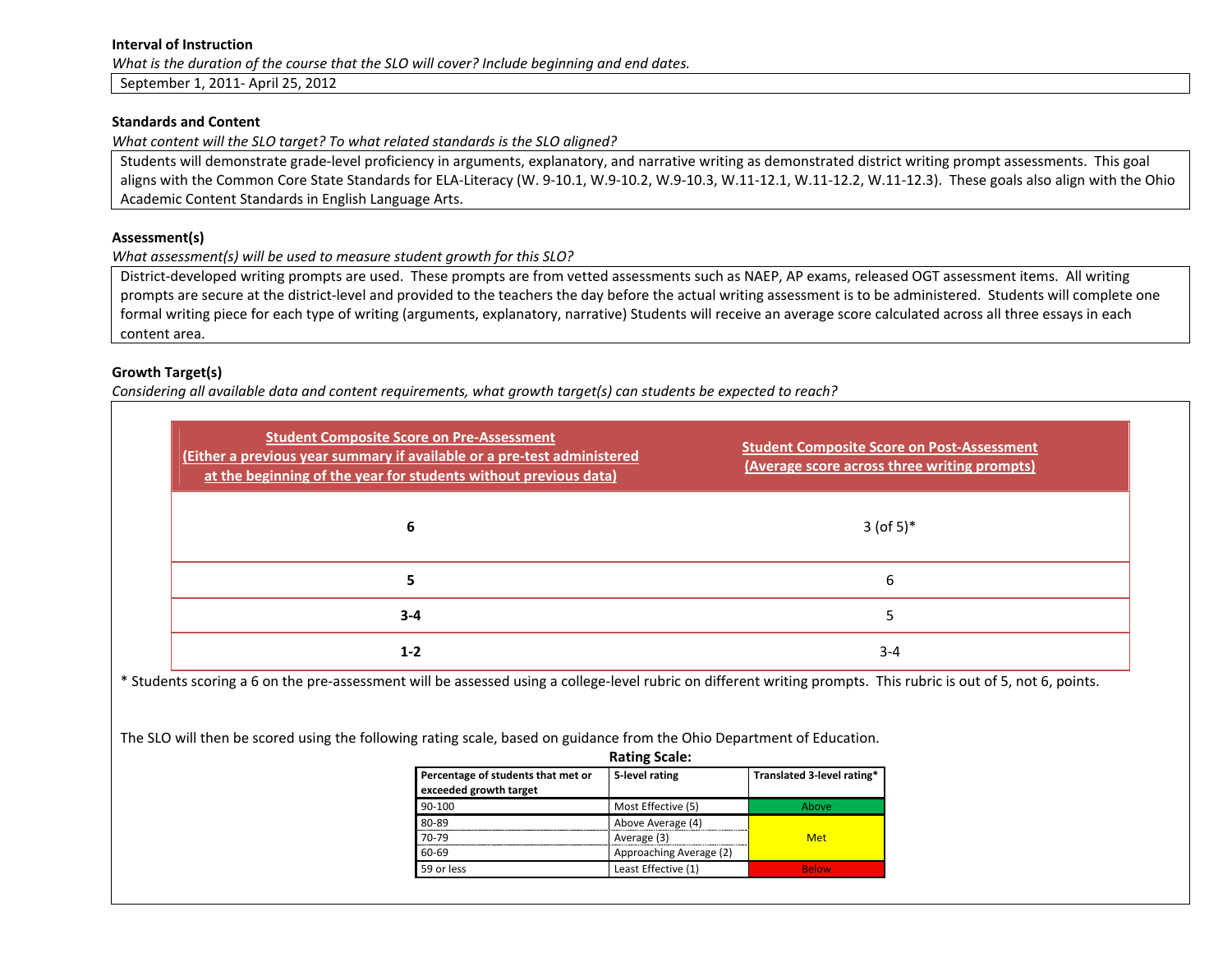#### **Interval of Instruction**

*What is the duration of the course that the SLO will cover? Include beginning and end dates.*

September 1, 2011‐ April 25, 2012

#### **Standards and Content**

*What content will the SLO target? To what related standards is the SLO aligned?*

Students will demonstrate grade‐level proficiency in arguments, explanatory, and narrative writing as demonstrated district writing prompt assessments. This goal aligns with the Common Core State Standards for ELA-Literacy (W. 9-10.1, W.9-10.2, W.9-10.3, W.11-12.1, W.11-12.2, W.11-12.3). These goals also align with the Ohio Academic Content Standards in English Language Arts.

#### **Assessment(s)**

*What assessment(s) will be used to measure student growth for this SLO?*

District-developed writing prompts are used. These prompts are from vetted assessments such as NAEP, AP exams, released OGT assessment items. All writing prompts are secure at the district-level and provided to the teachers the day before the actual writing assessment is to be administered. Students will complete one formal writing piece for each type of writing (arguments, explanatory, narrative) Students will receive an average score calculated across all three essays in each content area.

# **Growth Target(s)**

Considering all available data and content requirements, what growth target(s) can students be expected to reach?

| <b>Student Composite Score on Pre-Assessment</b><br>(Either a previous year summary if available or a pre-test administered<br>at the beginning of the year for students without previous data) | <b>Student Composite Score on Post-Assessment</b><br>(Average score across three writing prompts) |
|-------------------------------------------------------------------------------------------------------------------------------------------------------------------------------------------------|---------------------------------------------------------------------------------------------------|
|                                                                                                                                                                                                 | $3 (of 5)*$                                                                                       |
|                                                                                                                                                                                                 | h                                                                                                 |
| $3 - 4$                                                                                                                                                                                         |                                                                                                   |
| $1 - 2$                                                                                                                                                                                         | $3 - 4$                                                                                           |

\* Students scoring <sup>a</sup> 6 on the pre‐assessment will be assessed using <sup>a</sup> college‐level rubric on different writing prompts. This rubric is out of 5, not 6, points.

The SLO will then be scored using the following rating scale, based on guidance from the Ohio Department of Education.

| <b>Rating Scale:</b>                                         |                         |                            |  |  |  |
|--------------------------------------------------------------|-------------------------|----------------------------|--|--|--|
| Percentage of students that met or<br>exceeded growth target | 5-level rating          | Translated 3-level rating* |  |  |  |
| 90-100                                                       | Most Effective (5)      | Above                      |  |  |  |
| 80-89                                                        | Above Average (4)       |                            |  |  |  |
| 70-79                                                        | Average (3)             | <b>Met</b>                 |  |  |  |
| 60-69                                                        | Approaching Average (2) |                            |  |  |  |
| 59 or less                                                   | Least Effective (1)     | <b>Below</b>               |  |  |  |